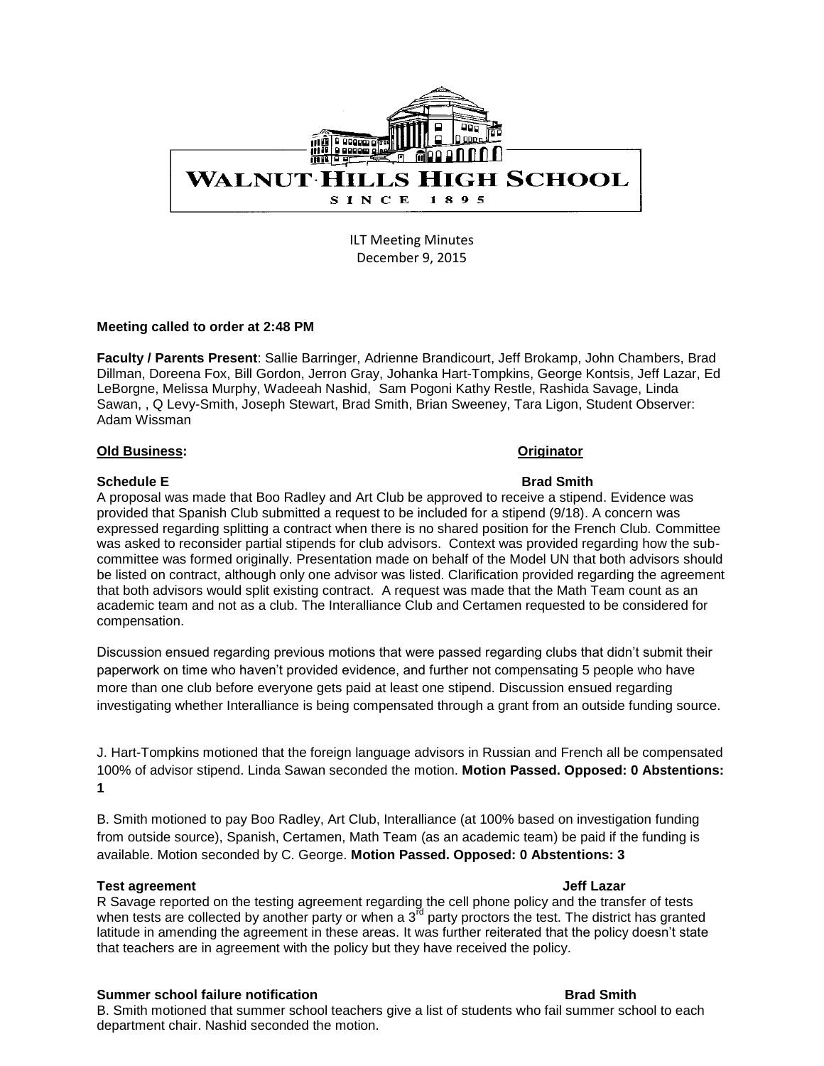

ILT Meeting Minutes December 9, 2015

## **Meeting called to order at 2:48 PM**

**Faculty / Parents Present**: Sallie Barringer, Adrienne Brandicourt, Jeff Brokamp, John Chambers, Brad Dillman, Doreena Fox, Bill Gordon, Jerron Gray, Johanka Hart-Tompkins, George Kontsis, Jeff Lazar, Ed LeBorgne, Melissa Murphy, Wadeeah Nashid, Sam Pogoni Kathy Restle, Rashida Savage, Linda Sawan, , Q Levy-Smith, Joseph Stewart, Brad Smith, Brian Sweeney, Tara Ligon, Student Observer: Adam Wissman

## **Old Business: Originator**

# **Schedule E** Brad Smith

A proposal was made that Boo Radley and Art Club be approved to receive a stipend. Evidence was provided that Spanish Club submitted a request to be included for a stipend (9/18). A concern was expressed regarding splitting a contract when there is no shared position for the French Club. Committee was asked to reconsider partial stipends for club advisors. Context was provided regarding how the subcommittee was formed originally. Presentation made on behalf of the Model UN that both advisors should be listed on contract, although only one advisor was listed. Clarification provided regarding the agreement that both advisors would split existing contract. A request was made that the Math Team count as an academic team and not as a club. The Interalliance Club and Certamen requested to be considered for compensation.

Discussion ensued regarding previous motions that were passed regarding clubs that didn't submit their paperwork on time who haven't provided evidence, and further not compensating 5 people who have more than one club before everyone gets paid at least one stipend. Discussion ensued regarding investigating whether Interalliance is being compensated through a grant from an outside funding source.

J. Hart-Tompkins motioned that the foreign language advisors in Russian and French all be compensated 100% of advisor stipend. Linda Sawan seconded the motion. **Motion Passed. Opposed: 0 Abstentions: 1**

B. Smith motioned to pay Boo Radley, Art Club, Interalliance (at 100% based on investigation funding from outside source), Spanish, Certamen, Math Team (as an academic team) be paid if the funding is available. Motion seconded by C. George. **Motion Passed. Opposed: 0 Abstentions: 3**

# **Test agreement Jeff Lazar**

R Savage reported on the testing agreement regarding the cell phone policy and the transfer of tests when tests are collected by another party or when a 3<sup>rd</sup> party proctors the test. The district has granted latitude in amending the agreement in these areas. It was further reiterated that the policy doesn't state that teachers are in agreement with the policy but they have received the policy.

## **Summer school failure notification by the state of the state Brad Smith**

B. Smith motioned that summer school teachers give a list of students who fail summer school to each department chair. Nashid seconded the motion.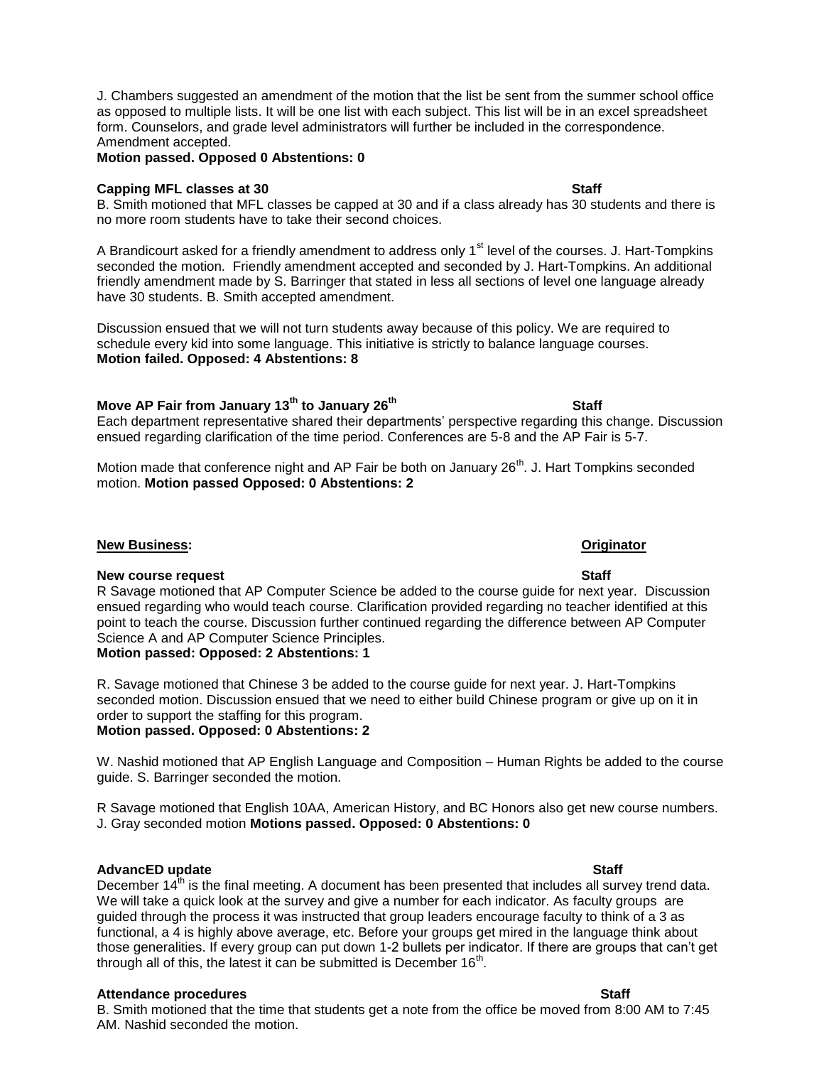J. Chambers suggested an amendment of the motion that the list be sent from the summer school office as opposed to multiple lists. It will be one list with each subject. This list will be in an excel spreadsheet form. Counselors, and grade level administrators will further be included in the correspondence. Amendment accepted.

# **Motion passed. Opposed 0 Abstentions: 0**

## **Capping MFL classes at 30 Staff** Staff Staff Staff Staff Staff Staff Staff Staff Staff Staff Staff Staff Staff Staff Staff Staff Staff Staff Staff Staff Staff Staff Staff Staff Staff Staff Staff Staff Staff Staff Staff St

B. Smith motioned that MFL classes be capped at 30 and if a class already has 30 students and there is no more room students have to take their second choices.

A Brandicourt asked for a friendly amendment to address only 1<sup>st</sup> level of the courses. J. Hart-Tompkins seconded the motion. Friendly amendment accepted and seconded by J. Hart-Tompkins. An additional friendly amendment made by S. Barringer that stated in less all sections of level one language already have 30 students. B. Smith accepted amendment.

Discussion ensued that we will not turn students away because of this policy. We are required to schedule every kid into some language. This initiative is strictly to balance language courses. **Motion failed. Opposed: 4 Abstentions: 8**

**Move AP Fair from January 13th to January 26th Staff** Each department representative shared their departments' perspective regarding this change. Discussion ensued regarding clarification of the time period. Conferences are 5-8 and the AP Fair is 5-7.

Motion made that conference night and AP Fair be both on January 26<sup>th</sup>. J. Hart Tompkins seconded motion. **Motion passed Opposed: 0 Abstentions: 2**

## **New course request Staff**

R Savage motioned that AP Computer Science be added to the course guide for next year. Discussion ensued regarding who would teach course. Clarification provided regarding no teacher identified at this point to teach the course. Discussion further continued regarding the difference between AP Computer Science A and AP Computer Science Principles.

# **Motion passed: Opposed: 2 Abstentions: 1**

R. Savage motioned that Chinese 3 be added to the course guide for next year. J. Hart-Tompkins seconded motion. Discussion ensued that we need to either build Chinese program or give up on it in order to support the staffing for this program.

# **Motion passed. Opposed: 0 Abstentions: 2**

W. Nashid motioned that AP English Language and Composition – Human Rights be added to the course guide. S. Barringer seconded the motion.

R Savage motioned that English 10AA, American History, and BC Honors also get new course numbers. J. Gray seconded motion **Motions passed. Opposed: 0 Abstentions: 0**

## **AdvancED update Staff** Staff Staff Staff Staff Staff Staff Staff Staff Staff Staff Staff Staff Staff Staff Staff Staff Staff Staff Staff Staff Staff Staff Staff Staff Staff Staff Staff Staff Staff Staff Staff Staff Staff

December  $14<sup>th</sup>$  is the final meeting. A document has been presented that includes all survey trend data. We will take a quick look at the survey and give a number for each indicator. As faculty groups are guided through the process it was instructed that group leaders encourage faculty to think of a 3 as functional, a 4 is highly above average, etc. Before your groups get mired in the language think about those generalities. If every group can put down 1-2 bullets per indicator. If there are groups that can't get through all of this, the latest it can be submitted is December  $16<sup>th</sup>$ .

## Attendance procedures **Staff Staff**

**New Business: Originator**